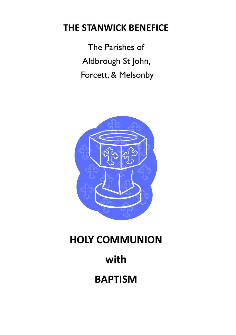## **THE STANWICK BENEFICE**

The Parishes of Aldbrough St John, Forcett, & Melsonby



# **HOLY COMMUNION**

# **with**

**BAPTISM**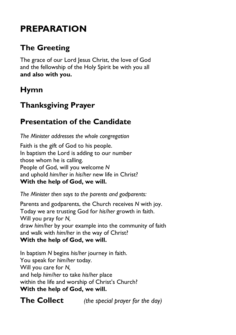## **PREPARATION**

### **The Greeting**

The grace of our Lord Jesus Christ, the love of God and the fellowship of the Holy Spirit be with you all **and also with you.**

### **Hymn**

### **Thanksgiving Prayer**

#### **Presentation of the Candidate**

*The Minister addresses the whole congregation*

Faith is the gift of God to his people. In baptism the Lord is adding to our number those whom he is calling. People of God, will you welcome *N* and uphold *him/her* in *his/her* new life in Christ? **With the help of God, we will.**

*The Minister then says to the parents and godparents:*

Parents and godparents, the Church receives *N* with joy. Today we are trusting God for *his/her* growth in faith. Will you pray for *N,* draw *him/her* by your example into the community of faith and walk with *him/her* in the way of Christ? **With the help of God, we will.**

In baptism *N* begins *his/her* journey in faith. You speak for *him/her* today. Will you care for *N,* and help *him/her* to take *his/her* place within the life and worship of Christ's Church? **With the help of God, we will.**

**The Collect** *(the special prayer for the day)*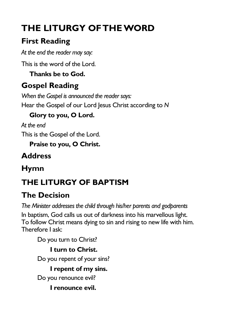# **THE LITURGY OF THE WORD**

## **First Reading**

*At the end the reader may say:*

This is the word of the Lord.

**Thanks be to God.**

## **Gospel Reading**

*When the Gospel is announced the reader says:* Hear the Gospel of our Lord Jesus Christ according to *N*

### **Glory to you, O Lord.**

*At the end* This is the Gospel of the Lord.

**Praise to you, O Christ.**

## **Address**

## **Hymn**

## **THE LITURGY OF BAPTISM**

## **The Decision**

*The Minister addresses the child through his/her parents and godparents* In baptism, God calls us out of darkness into his marvellous light. To follow Christ means dying to sin and rising to new life with him. Therefore I ask:

Do you turn to Christ?

**I turn to Christ.** Do you repent of your sins? **I repent of my sins.** Do you renounce evil?

**I renounce evil.**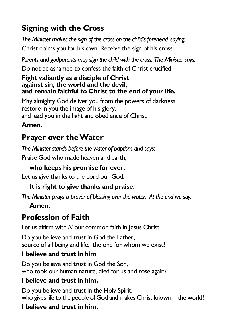### **Signing with the Cross**

*The Minister makes the sign of the cross on the child's forehead, saying:* Christ claims you for his own. Receive the sign of his cross.

*Parents and godparents may sign the child with the cross. The Minister says:*

Do not be ashamed to confess the faith of Christ crucified.

#### **Fight valiantly as a disciple of Christ against sin, the world and the devil, and remain faithful to Christ to the end of your life.**

May almighty God deliver you from the powers of darkness, restore in you the image of his glory, and lead you in the light and obedience of Christ.

#### **Amen.**

### **Prayer over the Water**

*The Minister stands before the water of baptism and says:*

Praise God who made heaven and earth,

#### **who keeps his promise for ever.**

Let us give thanks to the Lord our God.

#### **It is right to give thanks and praise.**

*The Minister prays a prayer of blessing over the water. At the end we say:*

#### **Amen.**

### **Profession of Faith**

Let us affirm with *N* our common faith in Jesus Christ.

Do you believe and trust in God the Father, source of all being and life, the one for whom we exist?

#### **I believe and trust in him**

Do you believe and trust in God the Son, who took our human nature, died for us and rose again?

#### **I believe and trust in him.**

Do you believe and trust in the Holy Spirit. who gives life to the people of God and makes Christ known in the world?

#### **I believe and trust in him.**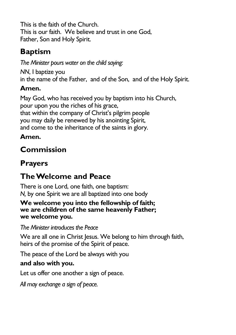This is the faith of the Church. This is our faith. We believe and trust in one God, Father, Son and Holy Spirit.

### **Baptism**

*The Minister pours water on the child saying:*

*NN*, I baptize you in the name of the Father, and of the Son, and of the Holy Spirit.

### **Amen.**

May God, who has received you by baptism into his Church, pour upon you the riches of his grace, that within the company of Christ's pilgrim people you may daily be renewed by his anointing Spirit, and come to the inheritance of the saints in glory.

### **Amen.**

## **Commission**

### **Prayers**

## **The Welcome and Peace**

There is one Lord, one faith, one baptism: *N,* by one Spirit we are all baptized into one body

#### **We welcome you into the fellowship of faith; we are children of the same heavenly Father; we welcome you.**

#### *The Minister introduces the Peace*

We are all one in Christ Jesus. We belong to him through faith, heirs of the promise of the Spirit of peace.

The peace of the Lord be always with you

#### **and also with you.**

Let us offer one another a sign of peace.

*All may exchange a sign of peace.*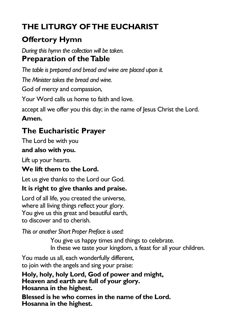## **THE LITURGY OF THE EUCHARIST**

### **Offertory Hymn**

*During this hymn the collection will be taken.* **Preparation of the Table**

*The table is prepared and bread and wine are placed upon it.*

*The Minister takes the bread and wine.*

God of mercy and compassion,

Your Word calls us home to faith and love.

accept all we offer you this day; in the name of Jesus Christ the Lord.

#### **Amen.**

### **The Eucharistic Prayer**

The Lord be with you

#### **and also with you.**

Lift up your hearts.

#### **We lift them to the Lord.**

Let us give thanks to the Lord our God.

#### **It is right to give thanks and praise.**

Lord of all life, you created the universe, where all living things reflect your glory. You give us this great and beautiful earth, to discover and to cherish.

*This or another Short Proper Preface is used:*

You give us happy times and things to celebrate. In these we taste your kingdom, a feast for all your children.

You made us all, each wonderfully different, to join with the angels and sing your praise:

**Holy, holy, holy Lord, God of power and might, Heaven and earth are full of your glory. Hosanna in the highest.**

**Blessed is he who comes in the name of the Lord. Hosanna in the highest.**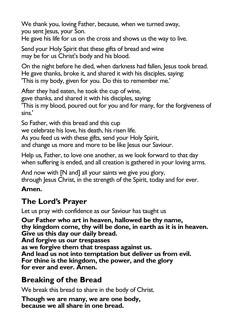We thank you, loving Father, because, when we turned away, you sent Jesus, your Son.

He gave his life for us on the cross and shows us the way to live.

Send your Holy Spirit that these gifts of bread and wine may be for us Christ's body and his blood.

On the night before he died, when darkness had fallen, Jesus took bread. He gave thanks, broke it, and shared it with his disciples, saying: 'This is my body, given for you. Do this to remember me.'

After they had eaten, he took the cup of wine,

gave thanks, and shared it with his disciples, saying:

'This is my blood, poured out for you and for many, for the forgiveness of sins.'

So Father, with this bread and this cup

we celebrate his love, his death, his risen life.

As you feed us with these gifts, send your Holy Spirit,

and change us more and more to be like Jesus our Saviour.

Help us, Father, to love one another, as we look forward to that day when suffering is ended, and all creation is gathered in your loving arms.

And now with [N and] all your saints we give you glory, through Jesus Christ, in the strength of the Spirit, today and for ever.

#### **Amen.**

### **The Lord's Prayer**

Let us pray with confidence as our Saviour has taught us

**Our Father who art in heaven, hallowed be thy name, thy kingdom come, thy will be done, in earth as it is in heaven. Give us this day our daily bread. And forgive us our trespasses as we forgive them that trespass against us. And lead us not into temptation but deliver us from evil. For thine is the kingdom, the power, and the glory for ever and ever. Amen.**

### **Breaking of the Bread**

We break this bread to share in the body of Christ.

**Though we are many, we are one body, because we all share in one bread.**